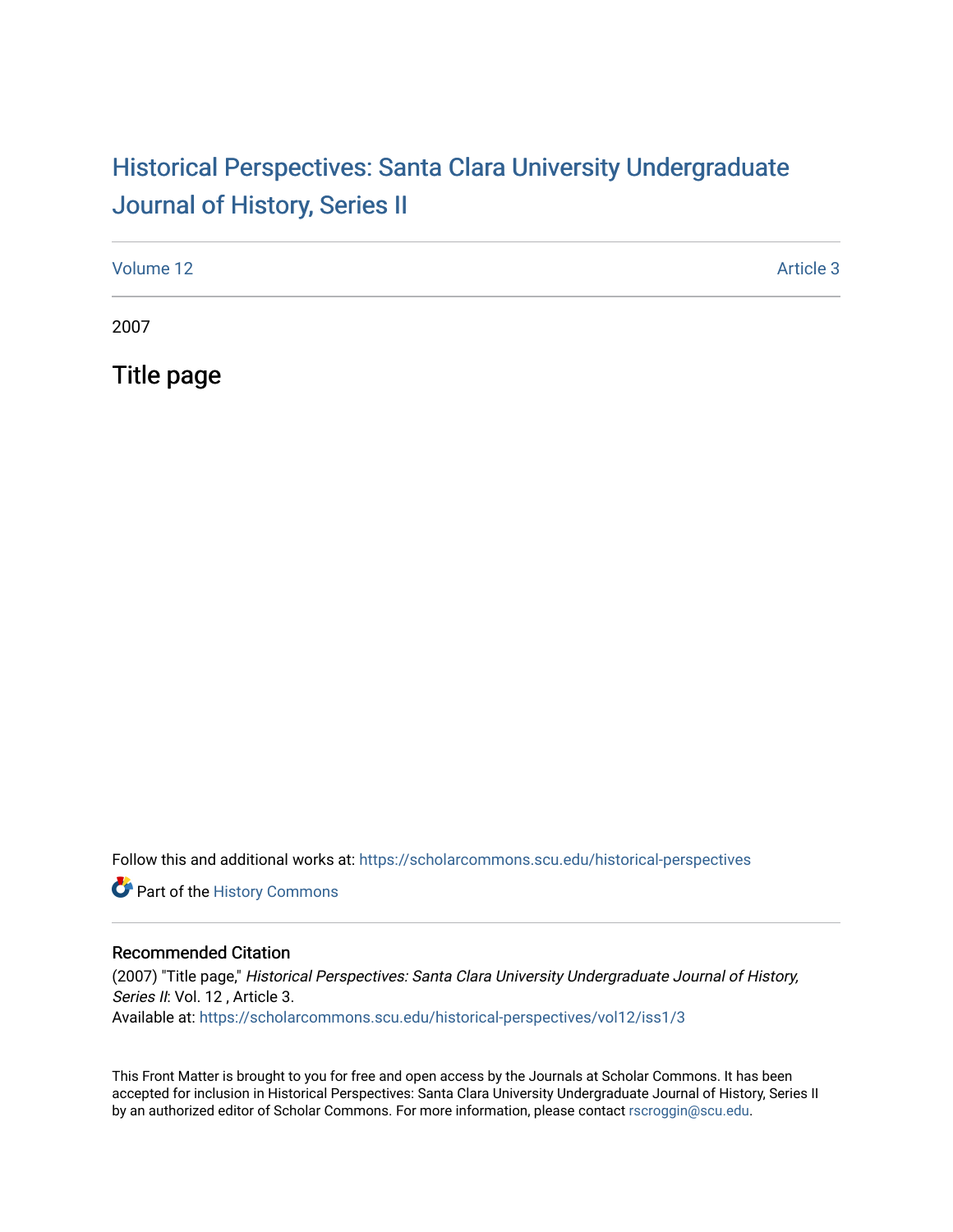### Historical Perspectiv[es: Santa Clara University Under](https://scholarcommons.scu.edu/historical-perspectives)graduate [Journal of History, Series II](https://scholarcommons.scu.edu/historical-perspectives)

| Volume 12 | Article 3 |
|-----------|-----------|
|           |           |

2007

Title page

Follow this and additional works at: [https://scholarcommons.scu.edu/historical-perspectives](https://scholarcommons.scu.edu/historical-perspectives?utm_source=scholarcommons.scu.edu%2Fhistorical-perspectives%2Fvol12%2Fiss1%2F3&utm_medium=PDF&utm_campaign=PDFCoverPages) 

Part of the [History Commons](http://network.bepress.com/hgg/discipline/489?utm_source=scholarcommons.scu.edu%2Fhistorical-perspectives%2Fvol12%2Fiss1%2F3&utm_medium=PDF&utm_campaign=PDFCoverPages) 

#### Recommended Citation

(2007) "Title page," Historical Perspectives: Santa Clara University Undergraduate Journal of History, Series II: Vol. 12, Article 3. Available at: [https://scholarcommons.scu.edu/historical-perspectives/vol12/iss1/3](https://scholarcommons.scu.edu/historical-perspectives/vol12/iss1/3?utm_source=scholarcommons.scu.edu%2Fhistorical-perspectives%2Fvol12%2Fiss1%2F3&utm_medium=PDF&utm_campaign=PDFCoverPages) 

This Front Matter is brought to you for free and open access by the Journals at Scholar Commons. It has been accepted for inclusion in Historical Perspectives: Santa Clara University Undergraduate Journal of History, Series II by an authorized editor of Scholar Commons. For more information, please contact [rscroggin@scu.edu.](mailto:rscroggin@scu.edu)